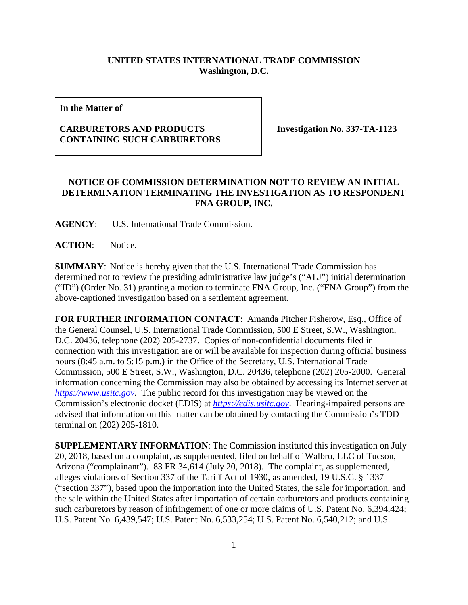## **UNITED STATES INTERNATIONAL TRADE COMMISSION Washington, D.C.**

**In the Matter of**

## **CARBURETORS AND PRODUCTS CONTAINING SUCH CARBURETORS**

**Investigation No. 337-TA-1123**

## **NOTICE OF COMMISSION DETERMINATION NOT TO REVIEW AN INITIAL DETERMINATION TERMINATING THE INVESTIGATION AS TO RESPONDENT FNA GROUP, INC.**

**AGENCY**: U.S. International Trade Commission.

**ACTION**: Notice.

**SUMMARY**: Notice is hereby given that the U.S. International Trade Commission has determined not to review the presiding administrative law judge's ("ALJ") initial determination ("ID") (Order No. 31) granting a motion to terminate FNA Group, Inc. ("FNA Group") from the above-captioned investigation based on a settlement agreement.

**FOR FURTHER INFORMATION CONTACT**: Amanda Pitcher Fisherow, Esq., Office of the General Counsel, U.S. International Trade Commission, 500 E Street, S.W., Washington, D.C. 20436, telephone (202) 205-2737. Copies of non-confidential documents filed in connection with this investigation are or will be available for inspection during official business hours (8:45 a.m. to 5:15 p.m.) in the Office of the Secretary, U.S. International Trade Commission, 500 E Street, S.W., Washington, D.C. 20436, telephone (202) 205-2000. General information concerning the Commission may also be obtained by accessing its Internet server at *[https://www.usitc.gov](https://www.usitc.gov/)*. The public record for this investigation may be viewed on the Commission's electronic docket (EDIS) at *[https://edis.usitc.gov](https://edis.usitc.gov/)*. Hearing-impaired persons are advised that information on this matter can be obtained by contacting the Commission's TDD terminal on (202) 205-1810.

**SUPPLEMENTARY INFORMATION**: The Commission instituted this investigation on July 20, 2018, based on a complaint, as supplemented, filed on behalf of Walbro, LLC of Tucson, Arizona ("complainant"). 83 FR 34,614 (July 20, 2018). The complaint, as supplemented, alleges violations of Section 337 of the Tariff Act of 1930, as amended, 19 U.S.C. § 1337 ("section 337"), based upon the importation into the United States, the sale for importation, and the sale within the United States after importation of certain carburetors and products containing such carburetors by reason of infringement of one or more claims of U.S. Patent No. 6,394,424; U.S. Patent No. 6,439,547; U.S. Patent No. 6,533,254; U.S. Patent No. 6,540,212; and U.S.